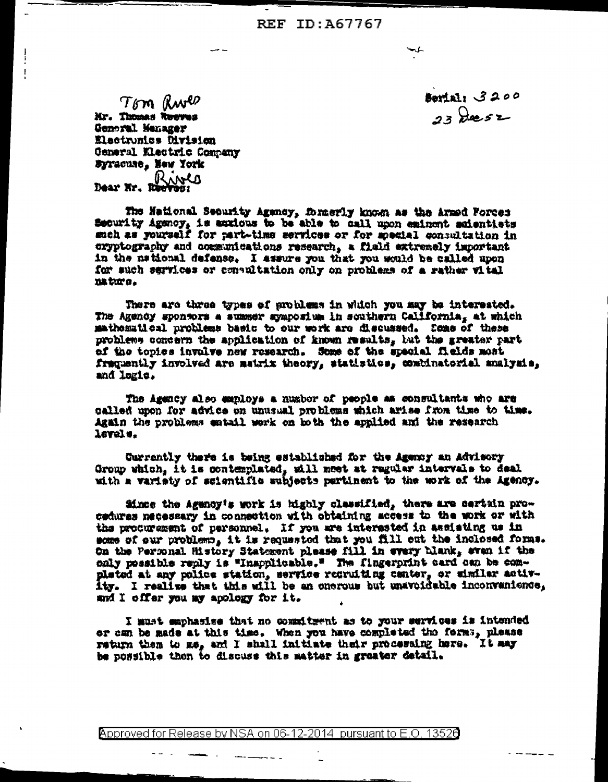REF ID: A67767

Tom Rwes Mr. Thomas Rueves General Manager Electronics Division General Mectric Company Syracuse, New York

Dear Nr. Rives

**Serial: 3200**  $23$  decsz

The National Security Agency, formerly known as the Armed Force: Security Agency, is auxious to be able to call upon eminent acientists such as yourself for part-time services or for special consultation in exyptography and communications research, a field extremely important in the national defense. I assure you that you would be called upon for such services or consultation only on problems of a rather vital nature.

There are three types of problems in which you may be interested. The Agency sponsors a summer symposium in scuthern California, at which mathematical problems basic to our work are discussed. Some of these problems concern the application of known results, but the greater part of the topics involve hew research. Some of the special fields most fraquently involved are matrix theory, statistics, combinatorial analysis, and logic.

The Agency also employs a number of people as consultants who are called upon for advice on unusual problems which arise from time to time. Again the problems entail work on both the applied and the research lavals.

Currantly there is being established for the Agency an Advisory Group which, it is contemplated, will meet at regular intervals to deal with a variety of scientific subjects partinent to the work of the Agency.

Since the Agency's work is highly classified, there are certain procedures necessary in connection with obtaining access to the work or with the procurement of personnel. If you are interested in assisting us in some of our problems, it is requested that you fill out the inclosed forms. On the Personal History Statement plasse fill in every hiank, even if the only possible reply is "Inapplicable." The fingerprint card oun be completed at any police station, service recruiting canter, or similar activity. I realize that this will be an onerous but unavoidable inconvanience, and I offer you my apology for it.

I must emphasise that no commitment as to your services is intended or can be made at this time. When you have completed the forms, please return them to me, and I shall initiate their processing here. It may be possible then to discuss this matter in greater detail.

Approved for Release by NSA on 06-12-2014 pursuant to E.O. 13526